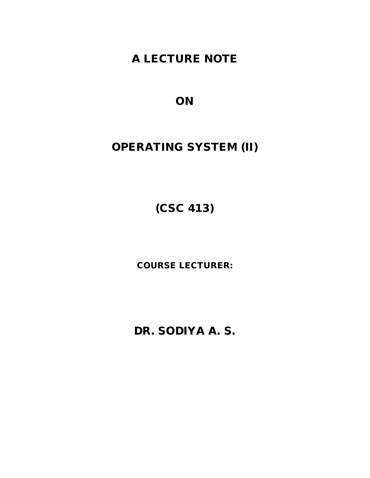**A LECTURE NOTE**

**ON**

# **OPERATING SYSTEM (II)**

**(CSC 413)**

**COURSE LECTURER:**

**DR. SODIYA A. S.**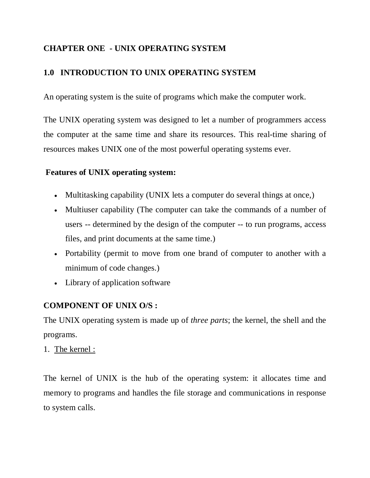# **CHAPTER ONE - UNIX OPERATING SYSTEM**

# **1.0 INTRODUCTION TO UNIX OPERATING SYSTEM**

An operating system is the suite of programs which make the computer work.

The UNIX operating system was designed to let a number of programmers access the computer at the same time and share its resources. This real-time sharing of resources makes UNIX one of the most powerful operating systems ever.

#### **Features of UNIX operating system:**

- Multitasking capability (UNIX lets a computer do several things at once,)
- Multiuser capability (The computer can take the commands of a number of users -- determined by the design of the computer -- to run programs, access files, and print documents at the same time.)
- Portability (permit to move from one brand of computer to another with a minimum of code changes.)
- Library of application software

## **COMPONENT OF UNIX O/S :**

The UNIX operating system is made up of *three parts*; the kernel, the shell and the programs.

1. The kernel :

The kernel of UNIX is the hub of the operating system: it allocates time and memory to programs and handles the file storage and communications in response to system calls.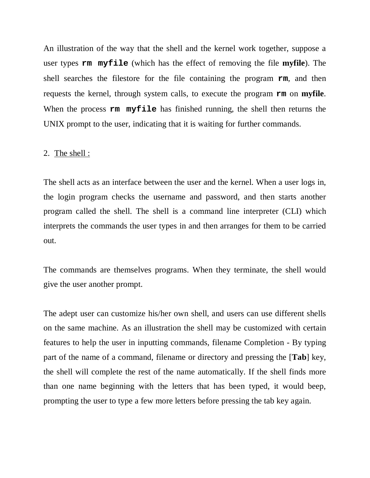An illustration of the way that the shell and the kernel work together, suppose a user types **rm myfile** (which has the effect of removing the file **myfile**). The shell searches the filestore for the file containing the program **rm**, and then requests the kernel, through system calls, to execute the program **rm** on **myfile**. When the process **rm myfile** has finished running, the shell then returns the UNIX prompt to the user, indicating that it is waiting for further commands.

#### 2. The shell :

The shell acts as an interface between the user and the kernel. When a user logs in, the login program checks the username and password, and then starts another program called the shell. The shell is a command line interpreter (CLI) which interprets the commands the user types in and then arranges for them to be carried out.

The commands are themselves programs. When they terminate, the shell would give the user another prompt.

The adept user can customize his/her own shell, and users can use different shells on the same machine. As an illustration the shell may be customized with certain features to help the user in inputting commands, filename Completion - By typing part of the name of a command, filename or directory and pressing the [**Tab**] key, the shell will complete the rest of the name automatically. If the shell finds more than one name beginning with the letters that has been typed, it would beep, prompting the user to type a few more letters before pressing the tab key again.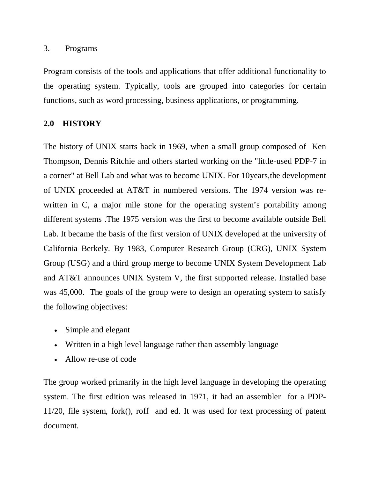#### 3. Programs

Program consists of the tools and applications that offer additional functionality to the operating system. Typically, tools are grouped into categories for certain functions, such as word processing, business applications, or programming.

### **2.0 HISTORY**

The history of UNIX starts back in 1969, when a small group composed of Ken Thompson, Dennis Ritchie and others started working on the "little-used PDP-7 in a corner" at Bell Lab and what was to become UNIX. For 10years,the development of UNIX proceeded at AT&T in numbered versions. The 1974 version was rewritten in C, a major mile stone for the operating system's portability among different systems .The 1975 version was the first to become available outside Bell Lab. It became the basis of the first version of UNIX developed at the university of California Berkely. By 1983, Computer Research Group (CRG), UNIX System Group (USG) and a third group merge to become UNIX System Development Lab and AT&T announces UNIX System V, the first supported release. Installed base was 45,000. The goals of the group were to design an operating system to satisfy the following objectives:

- Simple and elegant
- Written in a high level language rather than assembly language
- Allow re-use of code

The group worked primarily in the high level language in developing the operating system. The first edition was released in 1971, it had an assembler for a PDP-11/20, file system, fork(), roff and ed. It was used for text processing of patent document.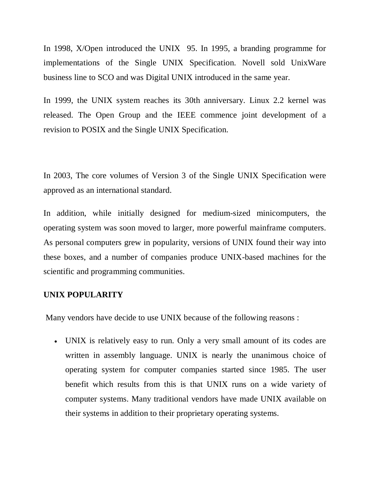In 1998, X/Open introduced the UNIX 95. In 1995, a branding programme for implementations of the Single UNIX Specification. Novell sold UnixWare business line to SCO and was Digital UNIX introduced in the same year.

In 1999, the UNIX system reaches its 30th anniversary. Linux 2.2 kernel was released. The Open Group and the IEEE commence joint development of a revision to POSIX and the Single UNIX Specification.

In 2003, The core volumes of Version 3 of the Single UNIX Specification were approved as an international standard.

In addition, while initially designed for medium-sized minicomputers, the operating system was soon moved to larger, more powerful mainframe computers. As personal computers grew in popularity, versions of UNIX found their way into these boxes, and a number of companies produce UNIX-based machines for the scientific and programming communities.

#### **UNIX POPULARITY**

Many vendors have decide to use UNIX because of the following reasons :

 UNIX is relatively easy to run. Only a very small amount of its codes are written in assembly language. UNIX is nearly the unanimous choice of operating system for computer companies started since 1985. The user benefit which results from this is that UNIX runs on a wide variety of computer systems. Many traditional vendors have made UNIX available on their systems in addition to their proprietary operating systems.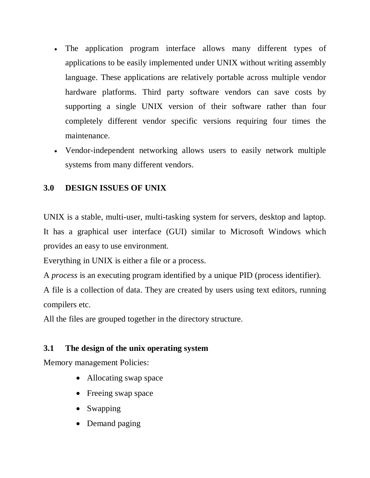- The application program interface allows many different types of applications to be easily implemented under UNIX without writing assembly language. These applications are relatively portable across multiple vendor hardware platforms. Third party software vendors can save costs by supporting a single UNIX version of their software rather than four completely different vendor specific versions requiring four times the maintenance.
- Vendor-independent networking allows users to easily network multiple systems from many different vendors.

# **3.0 DESIGN ISSUES OF UNIX**

UNIX is a stable, multi-user, multi-tasking system for servers, desktop and laptop. It has a graphical user interface (GUI) similar to Microsoft Windows which provides an easy to use environment.

Everything in UNIX is either a file or a process.

A *process* is an executing program identified by a unique PID (process identifier).

A file is a collection of data. They are created by users using text editors, running compilers etc.

All the files are grouped together in the directory structure.

# **3.1 The design of the unix operating system**

Memory management Policies:

- Allocating swap space
- Freeing swap space
- Swapping
- Demand paging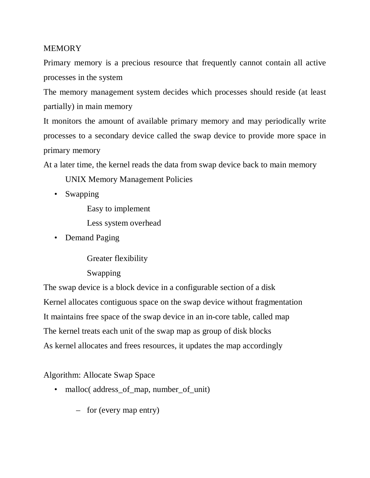## **MEMORY**

Primary memory is a precious resource that frequently cannot contain all active processes in the system

The memory management system decides which processes should reside (at least partially) in main memory

It monitors the amount of available primary memory and may periodically write processes to a secondary device called the swap device to provide more space in primary memory

At a later time, the kernel reads the data from swap device back to main memory

UNIX Memory Management Policies

• Swapping

Easy to implement

Less system overhead

• Demand Paging

Greater flexibility

Swapping

The swap device is a block device in a configurable section of a disk Kernel allocates contiguous space on the swap device without fragmentation It maintains free space of the swap device in an in-core table, called map The kernel treats each unit of the swap map as group of disk blocks As kernel allocates and frees resources, it updates the map accordingly

Algorithm: Allocate Swap Space

- malloc( address\_of\_map, number\_of\_unit)
	- for (every map entry)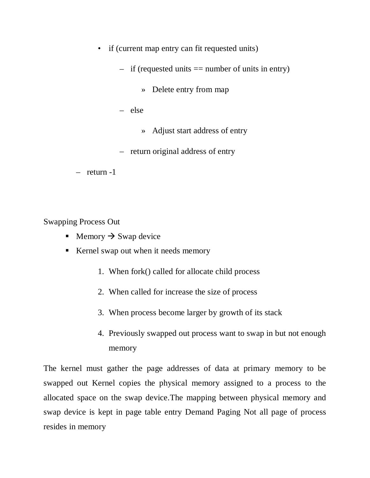- if (current map entry can fit requested units)
	- $-$  if (requested units  $==$  number of units in entry)
		- » Delete entry from map
	- else
		- » Adjust start address of entry
	- return original address of entry

– return -1

Swapping Process Out

- $M$ emory  $\rightarrow$  Swap device
- Kernel swap out when it needs memory
	- 1. When fork() called for allocate child process
	- 2. When called for increase the size of process
	- 3. When process become larger by growth of its stack
	- 4. Previously swapped out process want to swap in but not enough memory

The kernel must gather the page addresses of data at primary memory to be swapped out Kernel copies the physical memory assigned to a process to the allocated space on the swap device.The mapping between physical memory and swap device is kept in page table entry Demand Paging Not all page of process resides in memory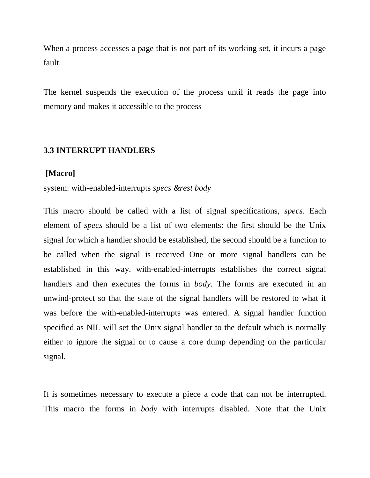When a process accesses a page that is not part of its working set, it incurs a page fault.

The kernel suspends the execution of the process until it reads the page into memory and makes it accessible to the process

#### **3.3 INTERRUPT HANDLERS**

#### **[Macro]**

system: with-enabled-interrupts *specs &rest body*

This macro should be called with a list of signal specifications, *specs*. Each element of *specs* should be a list of two elements: the first should be the Unix signal for which a handler should be established, the second should be a function to be called when the signal is received One or more signal handlers can be established in this way. with-enabled-interrupts establishes the correct signal handlers and then executes the forms in *body*. The forms are executed in an unwind-protect so that the state of the signal handlers will be restored to what it was before the with-enabled-interrupts was entered. A signal handler function specified as NIL will set the Unix signal handler to the default which is normally either to ignore the signal or to cause a core dump depending on the particular signal.

It is sometimes necessary to execute a piece a code that can not be interrupted. This macro the forms in *body* with interrupts disabled. Note that the Unix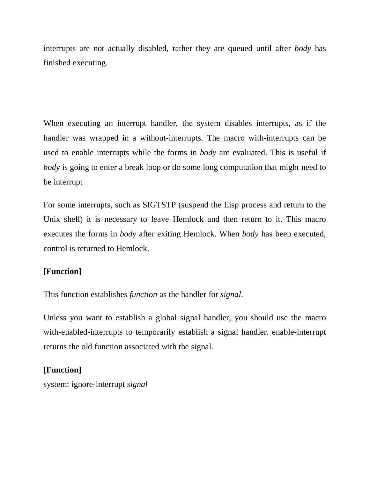interrupts are not actually disabled, rather they are queued until after *body* has finished executing.

When executing an interrupt handler, the system disables interrupts, as if the handler was wrapped in a without-interrupts. The macro with-interrupts can be used to enable interrupts while the forms in *body* are evaluated. This is useful if *body* is going to enter a break loop or do some long computation that might need to be interrupt

For some interrupts, such as SIGTSTP (suspend the Lisp process and return to the Unix shell) it is necessary to leave Hemlock and then return to it. This macro executes the forms in *body* after exiting Hemlock. When *body* has been executed, control is returned to Hemlock.

# **[Function]**

This function establishes *function* as the handler for *signal*.

Unless you want to establish a global signal handler, you should use the macro with-enabled-interrupts to temporarily establish a signal handler, enable-interrupt returns the old function associated with the signal.

# **[Function]**

system: ignore-interrupt *signal*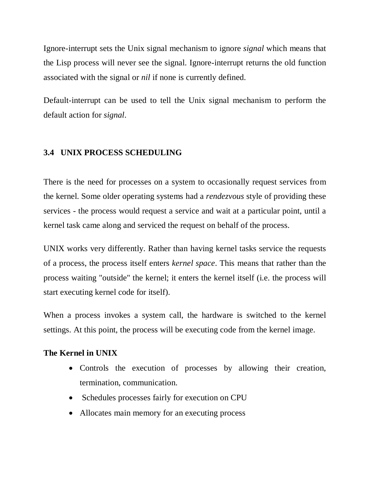Ignore-interrupt sets the Unix signal mechanism to ignore *signal* which means that the Lisp process will never see the signal. Ignore-interrupt returns the old function associated with the signal or *nil* if none is currently defined.

Default-interrupt can be used to tell the Unix signal mechanism to perform the default action for *signal*.

## **3.4 UNIX PROCESS SCHEDULING**

There is the need for processes on a system to occasionally request services from the kernel. Some older operating systems had a *rendezvous* style of providing these services - the process would request a service and wait at a particular point, until a kernel task came along and serviced the request on behalf of the process.

UNIX works very differently. Rather than having kernel tasks service the requests of a process, the process itself enters *kernel space*. This means that rather than the process waiting "outside" the kernel; it enters the kernel itself (i.e. the process will start executing kernel code for itself).

When a process invokes a system call, the hardware is switched to the kernel settings. At this point, the process will be executing code from the kernel image.

## **The Kernel in UNIX**

- Controls the execution of processes by allowing their creation, termination, communication.
- Schedules processes fairly for execution on CPU
- Allocates main memory for an executing process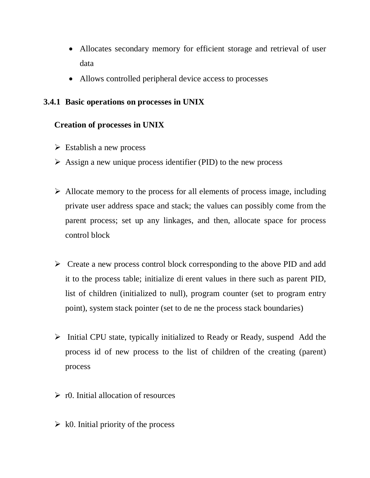- Allocates secondary memory for efficient storage and retrieval of user data
- Allows controlled peripheral device access to processes

# **3.4.1 Basic operations on processes in UNIX**

# **Creation of processes in UNIX**

- $\triangleright$  Establish a new process
- $\triangleright$  Assign a new unique process identifier (PID) to the new process
- $\triangleright$  Allocate memory to the process for all elements of process image, including private user address space and stack; the values can possibly come from the parent process; set up any linkages, and then, allocate space for process control block
- $\triangleright$  Create a new process control block corresponding to the above PID and add it to the process table; initialize di erent values in there such as parent PID, list of children (initialized to null), program counter (set to program entry point), system stack pointer (set to de ne the process stack boundaries)
- $\triangleright$  Initial CPU state, typically initialized to Ready or Ready, suspend Add the process id of new process to the list of children of the creating (parent) process
- $\triangleright$  r0. Initial allocation of resources
- $\triangleright$  k0. Initial priority of the process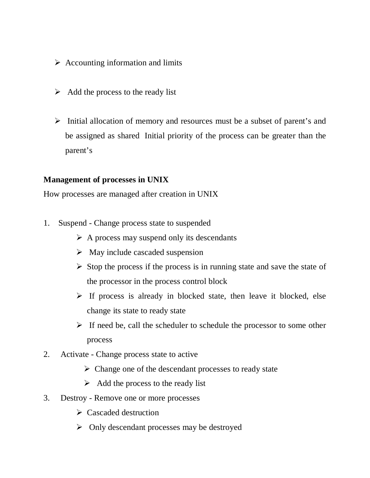- $\triangleright$  Accounting information and limits
- $\triangleright$  Add the process to the ready list
- $\triangleright$  Initial allocation of memory and resources must be a subset of parent's and be assigned as shared Initial priority of the process can be greater than the parent's

### **Management of processes in UNIX**

How processes are managed after creation in UNIX

- 1. Suspend Change process state to suspended
	- $\triangleright$  A process may suspend only its descendants
	- $\triangleright$  May include cascaded suspension
	- $\triangleright$  Stop the process if the process is in running state and save the state of the processor in the process control block
	- $\triangleright$  If process is already in blocked state, then leave it blocked, else change its state to ready state
	- $\triangleright$  If need be, call the scheduler to schedule the processor to some other process
- 2. Activate Change process state to active
	- $\triangleright$  Change one of the descendant processes to ready state
	- $\triangleright$  Add the process to the ready list
- 3. Destroy Remove one or more processes
	- $\triangleright$  Cascaded destruction
	- $\triangleright$  Only descendant processes may be destroyed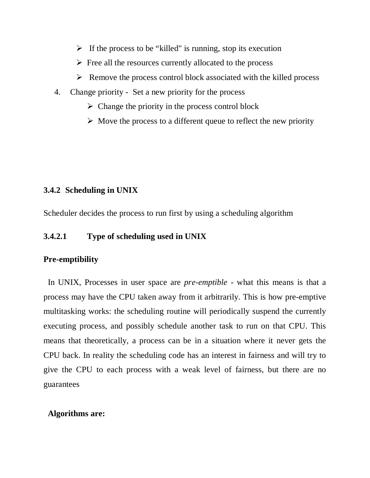- $\triangleright$  If the process to be "killed" is running, stop its execution
- $\triangleright$  Free all the resources currently allocated to the process
- $\triangleright$  Remove the process control block associated with the killed process
- 4. Change priority Set a new priority for the process
	- $\triangleright$  Change the priority in the process control block
	- $\triangleright$  Move the process to a different queue to reflect the new priority

## **3.4.2 Scheduling in UNIX**

Scheduler decides the process to run first by using a scheduling algorithm

#### **3.4.2.1 Type of scheduling used in UNIX**

#### **Pre-emptibility**

 In UNIX, Processes in user space are *pre-emptible* - what this means is that a process may have the CPU taken away from it arbitrarily. This is how pre-emptive multitasking works: the scheduling routine will periodically suspend the currently executing process, and possibly schedule another task to run on that CPU. This means that theoretically, a process can be in a situation where it never gets the CPU back. In reality the scheduling code has an interest in fairness and will try to give the CPU to each process with a weak level of fairness, but there are no guarantees

#### **Algorithms are:**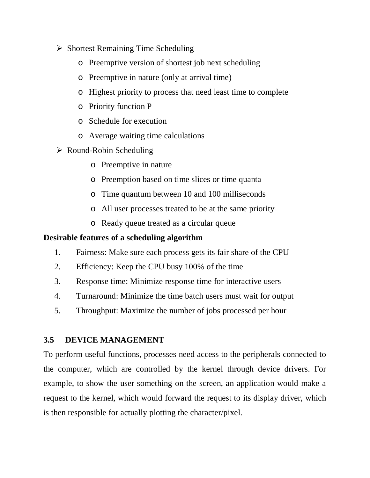- $\triangleright$  Shortest Remaining Time Scheduling
	- o Preemptive version of shortest job next scheduling
	- o Preemptive in nature (only at arrival time)
	- o Highest priority to process that need least time to complete
	- o Priority function P
	- o Schedule for execution
	- o Average waiting time calculations
- $\triangleright$  Round-Robin Scheduling
	- o Preemptive in nature
	- o Preemption based on time slices or time quanta
	- o Time quantum between 10 and 100 milliseconds
	- o All user processes treated to be at the same priority
	- o Ready queue treated as a circular queue

## **Desirable features of a scheduling algorithm**

- 1. Fairness: Make sure each process gets its fair share of the CPU
- 2. Efficiency: Keep the CPU busy 100% of the time
- 3. Response time: Minimize response time for interactive users
- 4. Turnaround: Minimize the time batch users must wait for output
- 5. Throughput: Maximize the number of jobs processed per hour

# **3.5 DEVICE MANAGEMENT**

To perform useful functions, processes need access to the peripherals connected to the computer, which are controlled by the kernel through device drivers. For example, to show the user something on the screen, an application would make a request to the kernel, which would forward the request to its display driver, which is then responsible for actually plotting the character/pixel.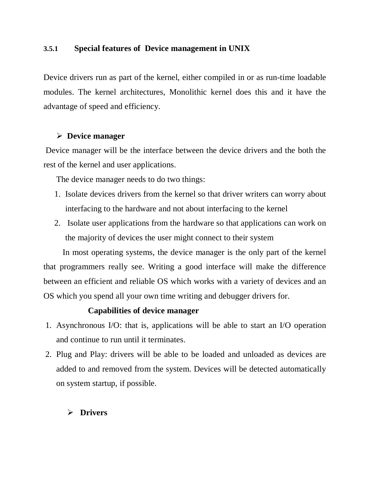#### **3.5.1 Special features of Device management in UNIX**

Device drivers run as part of the kernel, either compiled in or as run-time loadable modules. The kernel architectures, Monolithic kernel does this and it have the advantage of speed and efficiency.

#### **Device manager**

Device manager will be the interface between the device drivers and the both the rest of the kernel and user applications.

The device manager needs to do two things:

- 1. Isolate devices drivers from the kernel so that driver writers can worry about interfacing to the hardware and not about interfacing to the kernel
- 2. Isolate user applications from the hardware so that applications can work on the majority of devices the user might connect to their system

 In most operating systems, the device manager is the only part of the kernel that programmers really see. Writing a good interface will make the difference between an efficient and reliable OS which works with a variety of devices and an OS which you spend all your own time writing and debugger drivers for.

#### **Capabilities of device manager**

- 1. Asynchronous I/O: that is, applications will be able to start an I/O operation and continue to run until it terminates.
- 2. Plug and Play: drivers will be able to be loaded and unloaded as devices are added to and removed from the system. Devices will be detected automatically on system startup, if possible.

#### **Drivers**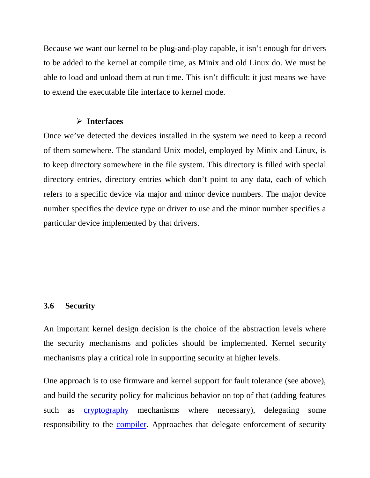Because we want our kernel to be plug-and-play capable, it isn't enough for drivers to be added to the kernel at compile time, as Minix and old Linux do. We must be able to load and unload them at run time. This isn't difficult: it just means we have to extend the executable file interface to kernel mode.

#### **Interfaces**

Once we've detected the devices installed in the system we need to keep a record of them somewhere. The standard Unix model, employed by Minix and Linux, is to keep directory somewhere in the file system. This directory is filled with special directory entries, directory entries which don't point to any data, each of which refers to a specific device via major and minor device numbers. The major device number specifies the device type or driver to use and the minor number specifies a particular device implemented by that drivers.

#### **3.6 Security**

An important kernel design decision is the choice of the abstraction levels where the security mechanisms and policies should be implemented. Kernel security mechanisms play a critical role in supporting security at higher levels.

One approach is to use firmware and kernel support for fault tolerance (see above), and build the security policy for malicious behavior on top of that (adding features such as cryptography mechanisms where necessary), delegating some responsibility to the compiler. Approaches that delegate enforcement of security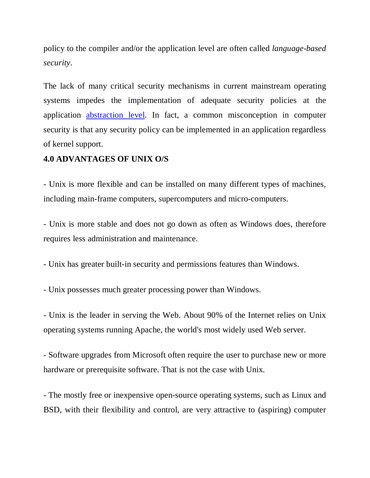policy to the compiler and/or the application level are often called *language-based security*.

The lack of many critical security mechanisms in current mainstream operating systems impedes the implementation of adequate security policies at the application abstraction level. In fact, a common misconception in computer security is that any security policy can be implemented in an application regardless of kernel support.

#### **4.0 ADVANTAGES OF UNIX O/S**

- Unix is more flexible and can be installed on many different types of machines, including main-frame computers, supercomputers and micro-computers.

- Unix is more stable and does not go down as often as Windows does, therefore requires less administration and maintenance.

- Unix has greater built-in security and permissions features than Windows.

- Unix possesses much greater processing power than Windows.

- Unix is the leader in serving the Web. About 90% of the Internet relies on Unix operating systems running Apache, the world's most widely used Web server.

- Software upgrades from Microsoft often require the user to purchase new or more hardware or prerequisite software. That is not the case with Unix.

- The mostly free or inexpensive open-source operating systems, such as Linux and BSD, with their flexibility and control, are very attractive to (aspiring) computer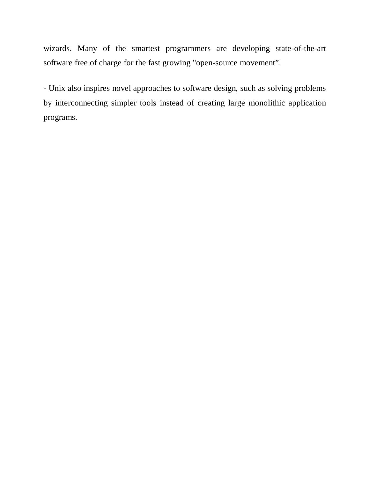wizards. Many of the smartest programmers are developing state-of-the-art software free of charge for the fast growing "open-source movement".

- Unix also inspires novel approaches to software design, such as solving problems by interconnecting simpler tools instead of creating large monolithic application programs.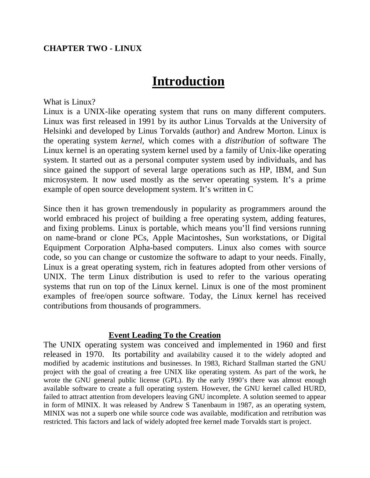### **CHAPTER TWO - LINUX**

# **Introduction**

What is Linux?

Linux is a UNIX-like operating system that runs on many different computers. Linux was first released in 1991 by its author Linus Torvalds at the University of Helsinki and developed by Linus Torvalds (author) and Andrew Morton. Linux is the operating system *kernel*, which comes with a *distribution* of software The Linux kernel is an operating system kernel used by a family of Unix-like operating system. It started out as a personal computer system used by individuals, and has since gained the support of several large operations such as HP, IBM, and Sun microsystem. It now used mostly as the server operating system. It's a prime example of open source development system. It's written in C

Since then it has grown tremendously in popularity as programmers around the world embraced his project of building a free operating system, adding features, and fixing problems. Linux is portable, which means you'll find versions running on name-brand or clone PCs, Apple Macintoshes, Sun workstations, or Digital Equipment Corporation Alpha-based computers. Linux also comes with source code, so you can change or customize the software to adapt to your needs. Finally, Linux is a great operating system, rich in features adopted from other versions of UNIX. The term Linux distribution is used to refer to the various operating systems that run on top of the Linux kernel. Linux is one of the most prominent examples of free/open source software. Today, the Linux kernel has received contributions from thousands of programmers.

#### **Event Leading To the Creation**

The UNIX operating system was conceived and implemented in 1960 and first released in 1970. Its portability and availability caused it to the widely adopted and modified by academic institutions and businesses. In 1983, Richard Stallman started the GNU project with the goal of creating a free UNIX like operating system. As part of the work, he wrote the GNU general public license (GPL). By the early 1990's there was almost enough available software to create a full operating system. However, the GNU kernel called HURD, failed to attract attention from developers leaving GNU incomplete. A solution seemed to appear in form of MINIX. It was released by Andrew S Tanenbaum in 1987, as an operating system, MINIX was not a superb one while source code was available, modification and retribution was restricted. This factors and lack of widely adopted free kernel made Torvalds start is project.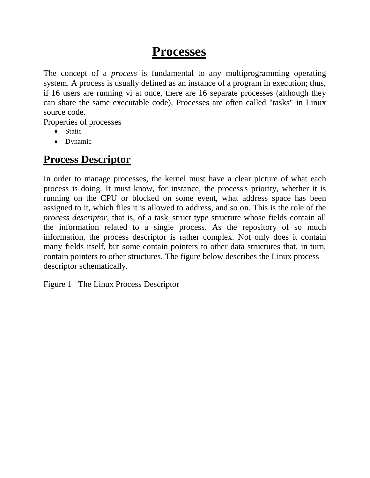# **Processes**

The concept of a *process* is fundamental to any multiprogramming operating system. A process is usually defined as an instance of a program in execution; thus, if 16 users are running vi at once, there are 16 separate processes (although they can share the same executable code). Processes are often called "tasks" in Linux source code.

Properties of processes

- Static
- Dynamic

# **Process Descriptor**

In order to manage processes, the kernel must have a clear picture of what each process is doing. It must know, for instance, the process's priority, whether it is running on the CPU or blocked on some event, what address space has been assigned to it, which files it is allowed to address, and so on. This is the role of the *process descriptor,* that is, of a task\_struct type structure whose fields contain all the information related to a single process. As the repository of so much information, the process descriptor is rather complex. Not only does it contain many fields itself, but some contain pointers to other data structures that, in turn, contain pointers to other structures. The figure below describes the Linux process descriptor schematically.

Figure 1 The Linux Process Descriptor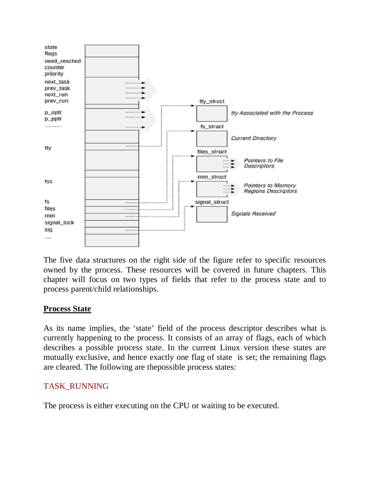

The five data structures on the right side of the figure refer to specific resources owned by the process. These resources will be covered in future chapters. This chapter will focus on two types of fields that refer to the process state and to process parent/child relationships.

## **Process State**

As its name implies, the 'state' field of the process descriptor describes what is currently happening to the process. It consists of an array of flags, each of which describes a possible process state. In the current Linux version these states are mutually exclusive, and hence exactly one flag of state is set; the remaining flags are cleared. The following are thepossible process states:

## TASK\_RUNNING

The process is either executing on the CPU or waiting to be executed.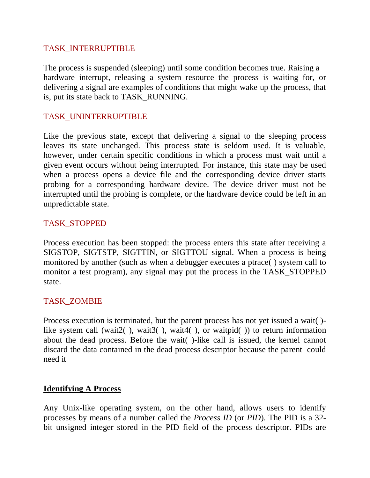## TASK\_INTERRUPTIBLE

The process is suspended (sleeping) until some condition becomes true. Raising a hardware interrupt, releasing a system resource the process is waiting for, or delivering a signal are examples of conditions that might wake up the process, that is, put its state back to TASK\_RUNNING.

# TASK\_UNINTERRUPTIBLE

Like the previous state, except that delivering a signal to the sleeping process leaves its state unchanged. This process state is seldom used. It is valuable, however, under certain specific conditions in which a process must wait until a given event occurs without being interrupted. For instance, this state may be used when a process opens a device file and the corresponding device driver starts probing for a corresponding hardware device. The device driver must not be interrupted until the probing is complete, or the hardware device could be left in an unpredictable state.

## TASK\_STOPPED

Process execution has been stopped: the process enters this state after receiving a SIGSTOP, SIGTSTP, SIGTTIN, or SIGTTOU signal. When a process is being monitored by another (such as when a debugger executes a ptrace( ) system call to monitor a test program), any signal may put the process in the TASK\_STOPPED state.

# TASK\_ZOMBIE

Process execution is terminated, but the parent process has not yet issued a wait( ) like system call (wait2(), wait3(), wait4(), or waitpid()) to return information about the dead process. Before the wait( )-like call is issued, the kernel cannot discard the data contained in the dead process descriptor because the parent could need it

#### **Identifying A Process**

Any Unix-like operating system, on the other hand, allows users to identify processes by means of a number called the *Process ID* (or *PID*). The PID is a 32 bit unsigned integer stored in the PID field of the process descriptor. PIDs are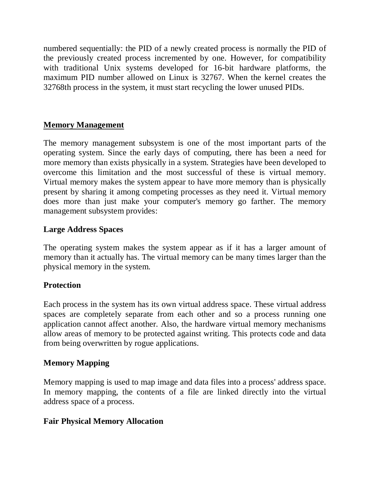numbered sequentially: the PID of a newly created process is normally the PID of the previously created process incremented by one. However, for compatibility with traditional Unix systems developed for 16-bit hardware platforms, the maximum PID number allowed on Linux is 32767. When the kernel creates the 32768th process in the system, it must start recycling the lower unused PIDs.

# **Memory Management**

The memory management subsystem is one of the most important parts of the operating system. Since the early days of computing, there has been a need for more memory than exists physically in a system. Strategies have been developed to overcome this limitation and the most successful of these is virtual memory. Virtual memory makes the system appear to have more memory than is physically present by sharing it among competing processes as they need it. Virtual memory does more than just make your computer's memory go farther. The memory management subsystem provides:

# **Large Address Spaces**

The operating system makes the system appear as if it has a larger amount of memory than it actually has. The virtual memory can be many times larger than the physical memory in the system.

# **Protection**

Each process in the system has its own virtual address space. These virtual address spaces are completely separate from each other and so a process running one application cannot affect another. Also, the hardware virtual memory mechanisms allow areas of memory to be protected against writing. This protects code and data from being overwritten by rogue applications.

# **Memory Mapping**

Memory mapping is used to map image and data files into a process' address space. In memory mapping, the contents of a file are linked directly into the virtual address space of a process.

# **Fair Physical Memory Allocation**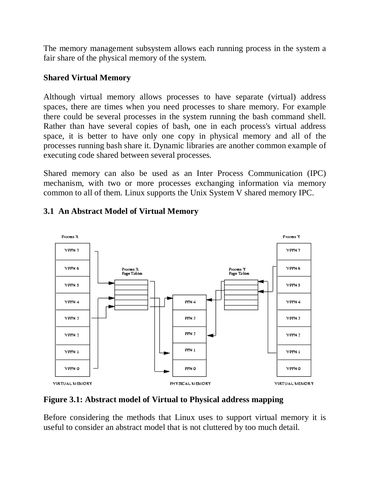The memory management subsystem allows each running process in the system a fair share of the physical memory of the system.

# **Shared Virtual Memory**

Although virtual memory allows processes to have separate (virtual) address spaces, there are times when you need processes to share memory. For example there could be several processes in the system running the bash command shell. Rather than have several copies of bash, one in each process's virtual address space, it is better to have only one copy in physical memory and all of the processes running bash share it. Dynamic libraries are another common example of executing code shared between several processes.

Shared memory can also be used as an Inter Process Communication (IPC) mechanism, with two or more processes exchanging information via memory common to all of them. Linux supports the Unix System V shared memory IPC.

# **3.1 An Abstract Model of Virtual Memory**



# **Figure 3.1: Abstract model of Virtual to Physical address mapping**

Before considering the methods that Linux uses to support virtual memory it is useful to consider an abstract model that is not cluttered by too much detail.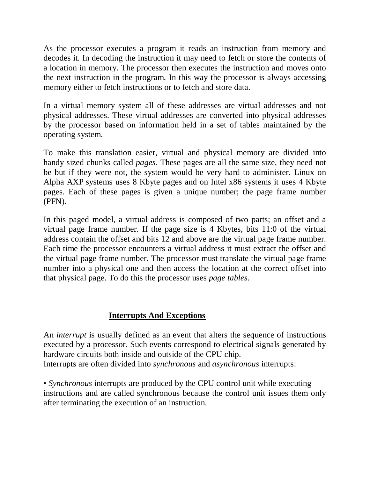As the processor executes a program it reads an instruction from memory and decodes it. In decoding the instruction it may need to fetch or store the contents of a location in memory. The processor then executes the instruction and moves onto the next instruction in the program. In this way the processor is always accessing memory either to fetch instructions or to fetch and store data.

In a virtual memory system all of these addresses are virtual addresses and not physical addresses. These virtual addresses are converted into physical addresses by the processor based on information held in a set of tables maintained by the operating system.

To make this translation easier, virtual and physical memory are divided into handy sized chunks called *pages*. These pages are all the same size, they need not be but if they were not, the system would be very hard to administer. Linux on Alpha AXP systems uses 8 Kbyte pages and on Intel x86 systems it uses 4 Kbyte pages. Each of these pages is given a unique number; the page frame number (PFN).

In this paged model, a virtual address is composed of two parts; an offset and a virtual page frame number. If the page size is 4 Kbytes, bits 11:0 of the virtual address contain the offset and bits 12 and above are the virtual page frame number. Each time the processor encounters a virtual address it must extract the offset and the virtual page frame number. The processor must translate the virtual page frame number into a physical one and then access the location at the correct offset into that physical page. To do this the processor uses *page tables*.

# **Interrupts And Exceptions**

An *interrupt* is usually defined as an event that alters the sequence of instructions executed by a processor. Such events correspond to electrical signals generated by hardware circuits both inside and outside of the CPU chip. Interrupts are often divided into *synchronous* and *asynchronous* interrupts:

• *Synchronous* interrupts are produced by the CPU control unit while executing instructions and are called synchronous because the control unit issues them only after terminating the execution of an instruction.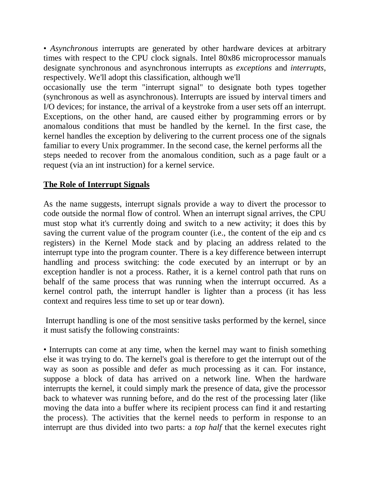• *Asynchronous* interrupts are generated by other hardware devices at arbitrary times with respect to the CPU clock signals. Intel 80x86 microprocessor manuals designate synchronous and asynchronous interrupts as *exceptions* and *interrupts*, respectively. We'll adopt this classification, although we'll

occasionally use the term "interrupt signal" to designate both types together (synchronous as well as asynchronous). Interrupts are issued by interval timers and I/O devices; for instance, the arrival of a keystroke from a user sets off an interrupt. Exceptions, on the other hand, are caused either by programming errors or by anomalous conditions that must be handled by the kernel. In the first case, the kernel handles the exception by delivering to the current process one of the signals familiar to every Unix programmer. In the second case, the kernel performs all the steps needed to recover from the anomalous condition, such as a page fault or a request (via an int instruction) for a kernel service.

# **The Role of Interrupt Signals**

As the name suggests, interrupt signals provide a way to divert the processor to code outside the normal flow of control. When an interrupt signal arrives, the CPU must stop what it's currently doing and switch to a new activity; it does this by saving the current value of the program counter (i.e., the content of the eip and cs registers) in the Kernel Mode stack and by placing an address related to the interrupt type into the program counter. There is a key difference between interrupt handling and process switching: the code executed by an interrupt or by an exception handler is not a process. Rather, it is a kernel control path that runs on behalf of the same process that was running when the interrupt occurred. As a kernel control path, the interrupt handler is lighter than a process (it has less context and requires less time to set up or tear down).

Interrupt handling is one of the most sensitive tasks performed by the kernel, since it must satisfy the following constraints:

• Interrupts can come at any time, when the kernel may want to finish something else it was trying to do. The kernel's goal is therefore to get the interrupt out of the way as soon as possible and defer as much processing as it can. For instance, suppose a block of data has arrived on a network line. When the hardware interrupts the kernel, it could simply mark the presence of data, give the processor back to whatever was running before, and do the rest of the processing later (like moving the data into a buffer where its recipient process can find it and restarting the process). The activities that the kernel needs to perform in response to an interrupt are thus divided into two parts: a *top half* that the kernel executes right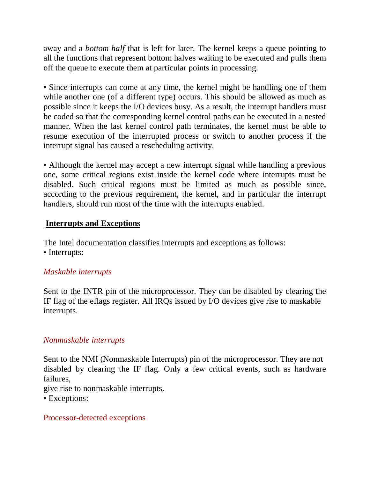away and a *bottom half* that is left for later. The kernel keeps a queue pointing to all the functions that represent bottom halves waiting to be executed and pulls them off the queue to execute them at particular points in processing.

• Since interrupts can come at any time, the kernel might be handling one of them while another one (of a different type) occurs. This should be allowed as much as possible since it keeps the I/O devices busy. As a result, the interrupt handlers must be coded so that the corresponding kernel control paths can be executed in a nested manner. When the last kernel control path terminates, the kernel must be able to resume execution of the interrupted process or switch to another process if the interrupt signal has caused a rescheduling activity.

• Although the kernel may accept a new interrupt signal while handling a previous one, some critical regions exist inside the kernel code where interrupts must be disabled. Such critical regions must be limited as much as possible since, according to the previous requirement, the kernel, and in particular the interrupt handlers, should run most of the time with the interrupts enabled.

# **Interrupts and Exceptions**

The Intel documentation classifies interrupts and exceptions as follows: • Interrupts:

## *Maskable interrupts*

Sent to the INTR pin of the microprocessor. They can be disabled by clearing the IF flag of the eflags register. All IRQs issued by I/O devices give rise to maskable interrupts.

## *Nonmaskable interrupts*

Sent to the NMI (Nonmaskable Interrupts) pin of the microprocessor. They are not disabled by clearing the IF flag. Only a few critical events, such as hardware failures,

give rise to nonmaskable interrupts.

• Exceptions:

## Processor-detected exceptions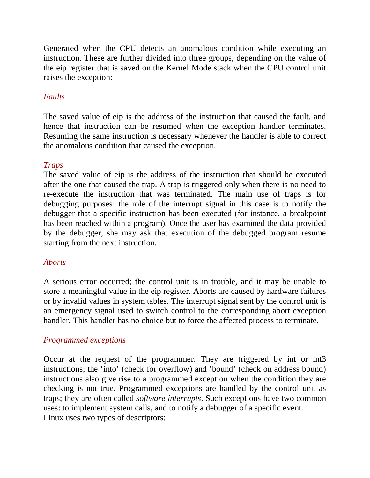Generated when the CPU detects an anomalous condition while executing an instruction. These are further divided into three groups, depending on the value of the eip register that is saved on the Kernel Mode stack when the CPU control unit raises the exception:

# *Faults*

The saved value of eip is the address of the instruction that caused the fault, and hence that instruction can be resumed when the exception handler terminates. Resuming the same instruction is necessary whenever the handler is able to correct the anomalous condition that caused the exception.

# *Traps*

The saved value of eip is the address of the instruction that should be executed after the one that caused the trap. A trap is triggered only when there is no need to re-execute the instruction that was terminated. The main use of traps is for debugging purposes: the role of the interrupt signal in this case is to notify the debugger that a specific instruction has been executed (for instance, a breakpoint has been reached within a program). Once the user has examined the data provided by the debugger, she may ask that execution of the debugged program resume starting from the next instruction.

# *Aborts*

A serious error occurred; the control unit is in trouble, and it may be unable to store a meaningful value in the eip register. Aborts are caused by hardware failures or by invalid values in system tables. The interrupt signal sent by the control unit is an emergency signal used to switch control to the corresponding abort exception handler. This handler has no choice but to force the affected process to terminate.

# *Programmed exceptions*

Occur at the request of the programmer. They are triggered by int or int3 instructions; the 'into' (check for overflow) and 'bound' (check on address bound) instructions also give rise to a programmed exception when the condition they are checking is not true. Programmed exceptions are handled by the control unit as traps; they are often called *software interrupts*. Such exceptions have two common uses: to implement system calls, and to notify a debugger of a specific event. Linux uses two types of descriptors: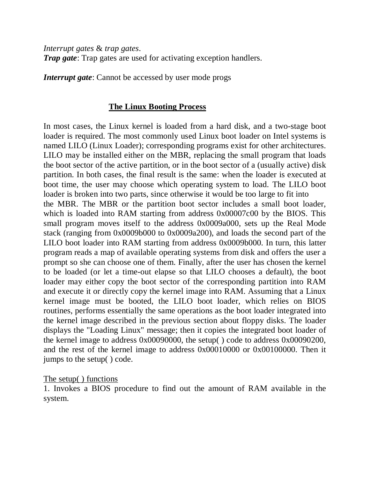*Interrupt gates* & *trap gates*. *Trap gate*: Trap gates are used for activating exception handlers.

*Interrupt gate:* Cannot be accessed by user mode progs

## **The Linux Booting Process**

In most cases, the Linux kernel is loaded from a hard disk, and a two-stage boot loader is required. The most commonly used Linux boot loader on Intel systems is named LILO (Linux Loader); corresponding programs exist for other architectures. LILO may be installed either on the MBR, replacing the small program that loads the boot sector of the active partition, or in the boot sector of a (usually active) disk partition. In both cases, the final result is the same: when the loader is executed at boot time, the user may choose which operating system to load. The LILO boot loader is broken into two parts, since otherwise it would be too large to fit into the MBR. The MBR or the partition boot sector includes a small boot loader, which is loaded into RAM starting from address  $0x00007c00$  by the BIOS. This small program moves itself to the address 0x0009a000, sets up the Real Mode stack (ranging from 0x0009b000 to 0x0009a200), and loads the second part of the LILO boot loader into RAM starting from address 0x0009b000. In turn, this latter program reads a map of available operating systems from disk and offers the user a prompt so she can choose one of them. Finally, after the user has chosen the kernel to be loaded (or let a time-out elapse so that LILO chooses a default), the boot loader may either copy the boot sector of the corresponding partition into RAM and execute it or directly copy the kernel image into RAM. Assuming that a Linux kernel image must be booted, the LILO boot loader, which relies on BIOS routines, performs essentially the same operations as the boot loader integrated into the kernel image described in the previous section about floppy disks. The loader displays the "Loading Linux" message; then it copies the integrated boot loader of the kernel image to address 0x00090000, the setup( ) code to address 0x00090200, and the rest of the kernel image to address 0x00010000 or 0x00100000. Then it jumps to the setup( ) code.

## The setup( ) functions

1. Invokes a BIOS procedure to find out the amount of RAM available in the system.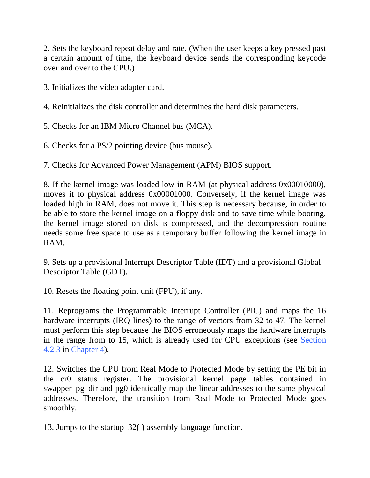2. Sets the keyboard repeat delay and rate. (When the user keeps a key pressed past a certain amount of time, the keyboard device sends the corresponding keycode over and over to the CPU.)

3. Initializes the video adapter card.

4. Reinitializes the disk controller and determines the hard disk parameters.

5. Checks for an IBM Micro Channel bus (MCA).

6. Checks for a PS/2 pointing device (bus mouse).

7. Checks for Advanced Power Management (APM) BIOS support.

8. If the kernel image was loaded low in RAM (at physical address 0x00010000), moves it to physical address 0x00001000. Conversely, if the kernel image was loaded high in RAM, does not move it. This step is necessary because, in order to be able to store the kernel image on a floppy disk and to save time while booting, the kernel image stored on disk is compressed, and the decompression routine needs some free space to use as a temporary buffer following the kernel image in RAM.

9. Sets up a provisional Interrupt Descriptor Table (IDT) and a provisional Global Descriptor Table (GDT).

10. Resets the floating point unit (FPU), if any.

11. Reprograms the Programmable Interrupt Controller (PIC) and maps the 16 hardware interrupts (IRQ lines) to the range of vectors from 32 to 47. The kernel must perform this step because the BIOS erroneously maps the hardware interrupts in the range from to 15, which is already used for CPU exceptions (see Section 4.2.3 in Chapter 4).

12. Switches the CPU from Real Mode to Protected Mode by setting the PE bit in the cr0 status register. The provisional kernel page tables contained in swapper pg dir and pg0 identically map the linear addresses to the same physical addresses. Therefore, the transition from Real Mode to Protected Mode goes smoothly.

13. Jumps to the startup\_32( ) assembly language function.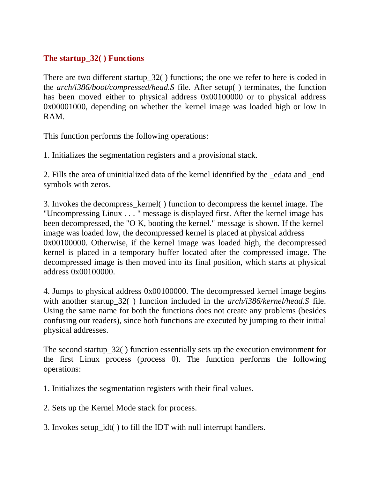# **The startup\_32( ) Functions**

There are two different startup 32() functions; the one we refer to here is coded in the *arch/i386/boot/compressed/head.S* file. After setup( ) terminates, the function has been moved either to physical address 0x00100000 or to physical address 0x00001000, depending on whether the kernel image was loaded high or low in RAM.

This function performs the following operations:

1. Initializes the segmentation registers and a provisional stack.

2. Fills the area of uninitialized data of the kernel identified by the \_edata and \_end symbols with zeros.

3. Invokes the decompress\_kernel( ) function to decompress the kernel image. The "Uncompressing Linux . . . " message is displayed first. After the kernel image has been decompressed, the "O K, booting the kernel." message is shown. If the kernel image was loaded low, the decompressed kernel is placed at physical address 0x00100000. Otherwise, if the kernel image was loaded high, the decompressed kernel is placed in a temporary buffer located after the compressed image. The decompressed image is then moved into its final position, which starts at physical address 0x00100000.

4. Jumps to physical address 0x00100000. The decompressed kernel image begins with another startup\_32( ) function included in the *arch/i386/kernel/head.S* file. Using the same name for both the functions does not create any problems (besides confusing our readers), since both functions are executed by jumping to their initial physical addresses.

The second startup\_32( ) function essentially sets up the execution environment for the first Linux process (process 0). The function performs the following operations:

- 1. Initializes the segmentation registers with their final values.
- 2. Sets up the Kernel Mode stack for process.
- 3. Invokes setup\_idt( ) to fill the IDT with null interrupt handlers.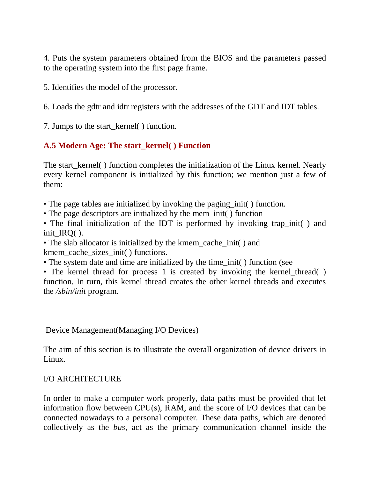4. Puts the system parameters obtained from the BIOS and the parameters passed to the operating system into the first page frame.

5. Identifies the model of the processor.

6. Loads the gdtr and idtr registers with the addresses of the GDT and IDT tables.

7. Jumps to the start\_kernel( ) function.

# **A.5 Modern Age: The start\_kernel( ) Function**

The start\_kernel() function completes the initialization of the Linux kernel. Nearly every kernel component is initialized by this function; we mention just a few of them:

• The page tables are initialized by invoking the paging init( ) function.

• The page descriptors are initialized by the mem init( ) function

• The final initialization of the IDT is performed by invoking trap\_init( ) and init\_IRQ( ).

• The slab allocator is initialized by the kmem\_cache\_init( ) and kmem\_cache\_sizes\_init( ) functions.

• The system date and time are initialized by the time init( ) function (see

• The kernel thread for process 1 is created by invoking the kernel thread() function. In turn, this kernel thread creates the other kernel threads and executes the */sbin/init* program.

#### Device Management(Managing I/O Devices)

The aim of this section is to illustrate the overall organization of device drivers in Linux.

## I/O ARCHITECTURE

In order to make a computer work properly, data paths must be provided that let information flow between CPU(s), RAM, and the score of I/O devices that can be connected nowadays to a personal computer. These data paths, which are denoted collectively as the *bus*, act as the primary communication channel inside the